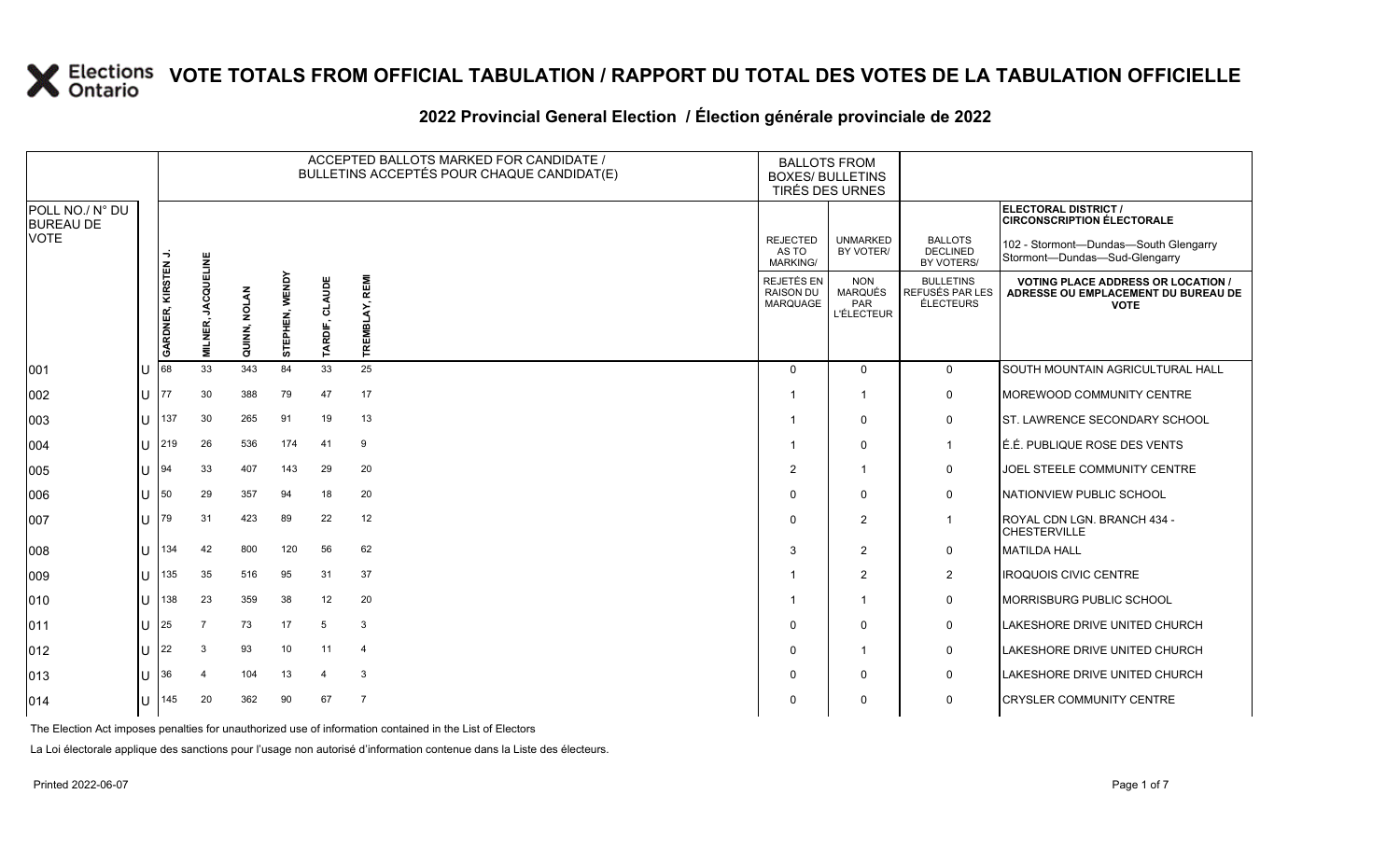#### **2022 Provincial General Election / Élection générale provinciale de 2022**

|                                     |     |                     |                                     |              |                |                       | ACCEPTED BALLOTS MARKED FOR CANDIDATE /<br>BULLETINS ACCEPTÉS POUR CHAQUE CANDIDAT(E) | <b>BALLOTS FROM</b><br><b>BOXES/ BULLETINS</b><br>TIRÉS DES URNES |                                                   |                                                  |                                                                                                 |
|-------------------------------------|-----|---------------------|-------------------------------------|--------------|----------------|-----------------------|---------------------------------------------------------------------------------------|-------------------------------------------------------------------|---------------------------------------------------|--------------------------------------------------|-------------------------------------------------------------------------------------------------|
| POLL NO./ N° DU<br><b>BUREAU DE</b> |     |                     |                                     |              |                |                       |                                                                                       |                                                                   |                                                   |                                                  | ELECTORAL DISTRICT /<br><b>CIRCONSCRIPTION ÉLECTORALE</b>                                       |
| <b>VOTE</b>                         |     |                     |                                     |              |                |                       |                                                                                       | <b>REJECTED</b><br>AS TO<br><b>MARKING/</b>                       | <b>UNMARKED</b><br>BY VOTER/                      | <b>BALLOTS</b><br><b>DECLINED</b><br>BY VOTERS/  | 102 - Stormont-Dundas-South Glengarry<br>Stormont-Dundas-Sud-Glengarry                          |
|                                     |     | GARDNER, KIRSTEN J. | <b>JACQUELINE</b><br><b>MILNER,</b> | QUINN, NOLAN | STEPHEN, WENDY | CLAUDE<br>TARDIF,     | TREMBLAY, REMI                                                                        | REJETÉS EN<br><b>RAISON DU</b><br><b>MARQUAGE</b>                 | <b>NON</b><br>MARQUÉS<br>PAR<br><b>L'ÉLECTEUR</b> | <b>BULLETINS</b><br>REFUSÉS PAR LES<br>ÉLECTEURS | <b>VOTING PLACE ADDRESS OR LOCATION /</b><br>ADRESSE OU EMPLACEMENT DU BUREAU DE<br><b>VOTE</b> |
| 001                                 | ΠT  | 68                  | 33                                  | 343          | 84             | 33                    | 25                                                                                    | $\Omega$                                                          | $\mathbf{0}$                                      | $\mathbf 0$                                      | SOUTH MOUNTAIN AGRICULTURAL HALL                                                                |
|                                     |     |                     |                                     |              |                |                       |                                                                                       |                                                                   |                                                   |                                                  |                                                                                                 |
| 002                                 | ΙU  | 177                 | 30                                  | 388          | 79             | 47                    | 17                                                                                    |                                                                   | -1                                                | 0                                                | MOREWOOD COMMUNITY CENTRE                                                                       |
| 003                                 | ΙU  | 137                 | 30                                  | 265          | 91             | 19                    | 13                                                                                    |                                                                   | $\Omega$                                          | 0                                                | <b>ST. LAWRENCE SECONDARY SCHOOL</b>                                                            |
| 004                                 | lu  | 219                 | 26                                  | 536          | 174            | 41                    | 9                                                                                     |                                                                   | $\Omega$                                          | $\mathbf 1$                                      | É.É. PUBLIQUE ROSE DES VENTS                                                                    |
| 005                                 | lu  | 94                  | 33                                  | 407          | 143            | 29                    | 20                                                                                    | $\overline{2}$                                                    | -1                                                | 0                                                | JOEL STEELE COMMUNITY CENTRE                                                                    |
| 006                                 | U   | 50                  | 29                                  | 357          | 94             | 18                    | 20                                                                                    | $\Omega$                                                          | $\Omega$                                          | $\mathbf 0$                                      | NATIONVIEW PUBLIC SCHOOL                                                                        |
| 007                                 | U   | 79                  | 31                                  | 423          | 89             | 22                    | 12                                                                                    | $\Omega$                                                          | $\overline{2}$                                    | $\mathbf 1$                                      | ROYAL CDN LGN. BRANCH 434 -<br><b>CHESTERVILLE</b>                                              |
| 008                                 | U   | 134                 | 42                                  | 800          | 120            | 56                    | 62                                                                                    | 3                                                                 | 2                                                 | 0                                                | <b>MATILDA HALL</b>                                                                             |
| 009                                 | U   | 135                 | 35                                  | 516          | 95             | 31                    | 37                                                                                    | -1                                                                | 2                                                 | $\overline{2}$                                   | <b>IROQUOIS CIVIC CENTRE</b>                                                                    |
| 010                                 | U   | 138                 | 23                                  | 359          | 38             | 12                    | 20                                                                                    |                                                                   | $\blacktriangleleft$                              | 0                                                | MORRISBURG PUBLIC SCHOOL                                                                        |
| 011                                 | lU. | 25                  | 7                                   | 73           | 17             | 5                     | 3                                                                                     | $\Omega$                                                          | $\mathbf{0}$                                      | 0                                                | LAKESHORE DRIVE UNITED CHURCH                                                                   |
| 012                                 | U   | 22                  | 3                                   | 93           | 10             | 11                    | $\overline{4}$                                                                        | $\Omega$                                                          | $\overline{1}$                                    | 0                                                | <b>LAKESHORE DRIVE UNITED CHURCH</b>                                                            |
| 013                                 | lU  | 136                 | $\overline{4}$                      | 104          | 13             | $\boldsymbol{\Delta}$ | 3                                                                                     | $\Omega$                                                          | $\mathbf{0}$                                      | 0                                                | LAKESHORE DRIVE UNITED CHURCH                                                                   |
| 014                                 | U   | 145                 | 20                                  | 362          | 90             | 67                    | $\overline{7}$                                                                        | $\Omega$                                                          | $\Omega$                                          | 0                                                | <b>CRYSLER COMMUNITY CENTRE</b>                                                                 |

The Election Act imposes penalties for unauthorized use of information contained in the List of Electors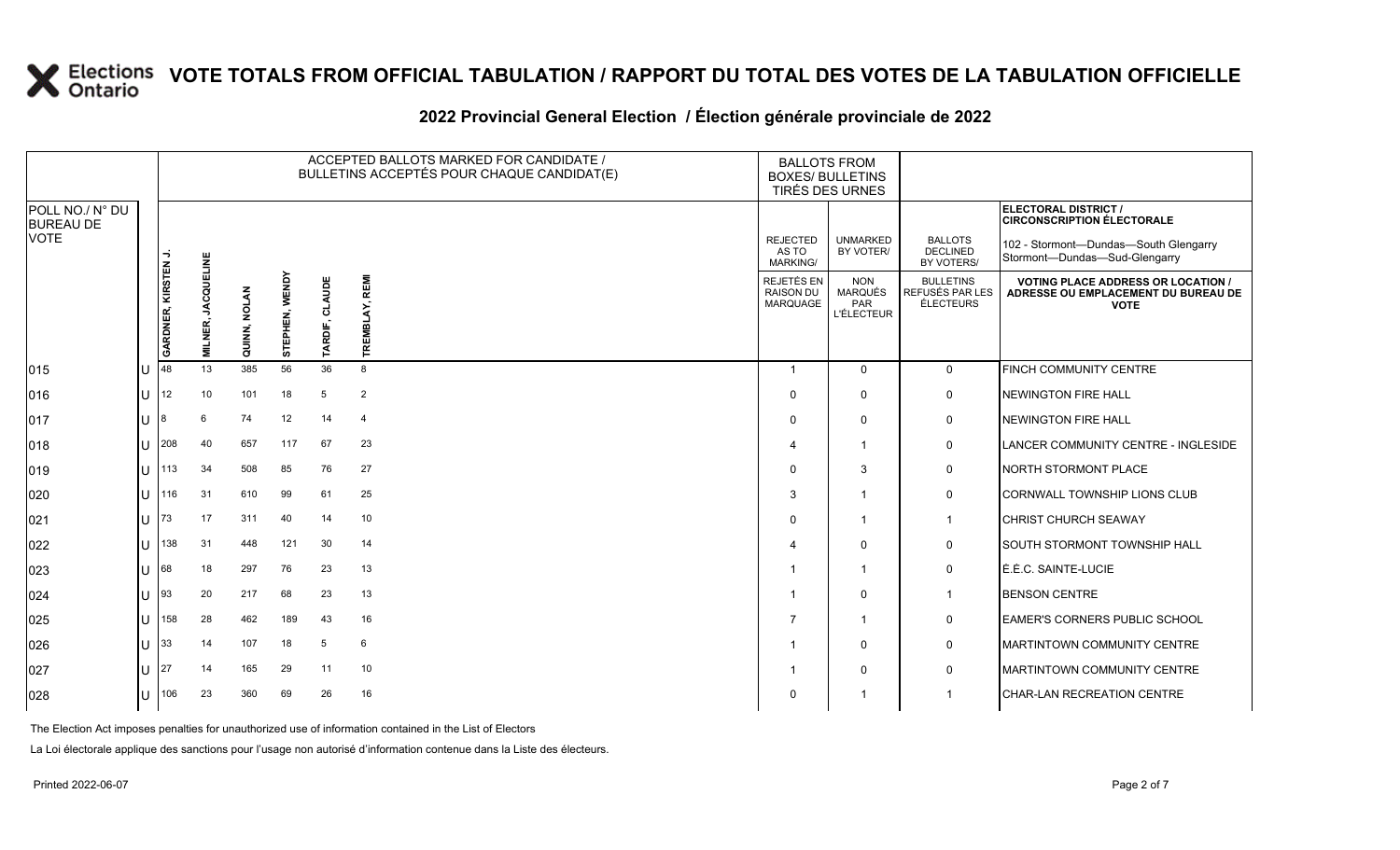### **2022 Provincial General Election / Élection générale provinciale de 2022**

|                                     |     |                            |                              |              |                |                | ACCEPTED BALLOTS MARKED FOR CANDIDATE /<br>BULLETINS ACCEPTÉS POUR CHAQUE CANDIDAT(E) | <b>BALLOTS FROM</b><br><b>BOXES/ BULLETINS</b><br>TIRÉS DES URNES |                                                          |                                                  |                                                                                                 |  |
|-------------------------------------|-----|----------------------------|------------------------------|--------------|----------------|----------------|---------------------------------------------------------------------------------------|-------------------------------------------------------------------|----------------------------------------------------------|--------------------------------------------------|-------------------------------------------------------------------------------------------------|--|
| POLL NO./ N° DU<br><b>BUREAU DE</b> |     |                            |                              |              |                |                |                                                                                       |                                                                   |                                                          |                                                  | ELECTORAL DISTRICT /<br><b>CIRCONSCRIPTION ÉLECTORALE</b>                                       |  |
| <b>VOTE</b>                         |     |                            |                              |              |                |                |                                                                                       | <b>REJECTED</b><br>AS TO<br><b>MARKING/</b>                       | <b>UNMARKED</b><br>BY VOTER/                             | <b>BALLOTS</b><br><b>DECLINED</b><br>BY VOTERS/  | 102 - Stormont--Dundas--South Glengarry<br>Stormont-Dundas-Sud-Glengarry                        |  |
|                                     |     | <b>GARDNER, KIRSTEN J.</b> | <b>JACQUELINE</b><br>MILNER, | QUINN, NOLAN | STEPHEN, WENDY | TARDIF, CLAUDE | TREMBLAY, REMI                                                                        | REJETÉS EN<br><b>RAISON DU</b><br>MARQUAGE                        | <b>NON</b><br><b>MARQUÉS</b><br>PAR<br><b>L'ÉLECTEUR</b> | <b>BULLETINS</b><br>REFUSÉS PAR LES<br>ÉLECTEURS | <b>VOTING PLACE ADDRESS OR LOCATION /</b><br>ADRESSE OU EMPLACEMENT DU BUREAU DE<br><b>VOTE</b> |  |
| $ 015\rangle$                       |     | 48                         | 13                           | 385          | 56             | 36             | 8                                                                                     |                                                                   | $\Omega$                                                 | $\mathbf 0$                                      | FINCH COMMUNITY CENTRE                                                                          |  |
| 016                                 | lU. | 12                         | 10                           | 101          | 18             | 5              | $\overline{2}$                                                                        | $\Omega$                                                          | $\mathbf 0$                                              | 0                                                | NEWINGTON FIRE HALL                                                                             |  |
| 017                                 | ΙU  | 8                          | 6                            | 74           | 12             | 14             | $\overline{4}$                                                                        | $\Omega$                                                          | $\mathbf 0$                                              | $\mathsf{O}$                                     | NEWINGTON FIRE HALL                                                                             |  |
| 018                                 | lU  | 208                        | 40                           | 657          | 117            | 67             | 23                                                                                    | Δ                                                                 | $\overline{\mathbf{1}}$                                  | 0                                                | LANCER COMMUNITY CENTRE - INGLESIDE                                                             |  |
| 019                                 | lυ  | 113                        | 34                           | 508          | 85             | 76             | 27                                                                                    | $\Omega$                                                          | 3                                                        | 0                                                | NORTH STORMONT PLACE                                                                            |  |
| 020                                 | ΙU  | 116                        | 31                           | 610          | 99             | 61             | 25                                                                                    | 3                                                                 | $\overline{\mathbf{1}}$                                  | 0                                                | CORNWALL TOWNSHIP LIONS CLUB                                                                    |  |
| 021                                 | lu  | 73                         | 17                           | 311          | 40             | 14             | 10                                                                                    | $\Omega$                                                          | $\overline{1}$                                           | $\overline{1}$                                   | <b>CHRIST CHURCH SEAWAY</b>                                                                     |  |
| 022                                 | lu  | 138                        | 31                           | 448          | 121            | 30             | 14                                                                                    | ⊿                                                                 | $\Omega$                                                 | 0                                                | SOUTH STORMONT TOWNSHIP HALL                                                                    |  |
| 023                                 | ΙU  | 68                         | 18                           | 297          | 76             | 23             | 13                                                                                    |                                                                   | $\overline{1}$                                           | $\mathsf{O}$                                     | LÉ.É.C. SAINTE-LUCIE                                                                            |  |
| $ 024\rangle$                       | lu  | 93                         | 20                           | 217          | 68             | 23             | 13                                                                                    |                                                                   | $\mathbf 0$                                              | $\overline{1}$                                   | <b>BENSON CENTRE</b>                                                                            |  |
| 025                                 | lu  | 158                        | 28                           | 462          | 189            | 43             | 16                                                                                    | $\overline{7}$                                                    | $\overline{1}$                                           | $\mathsf{O}$                                     | <b>LEAMER'S CORNERS PUBLIC SCHOOL</b>                                                           |  |
| 026                                 | lU  | 33                         | 14                           | 107          | 18             | 5              | 6                                                                                     |                                                                   | $\mathbf 0$                                              | 0                                                | MARTINTOWN COMMUNITY CENTRE                                                                     |  |
| 027                                 | IП  | 27                         | 14                           | 165          | 29             | 11             | 10                                                                                    |                                                                   | $\Omega$                                                 | $\mathbf 0$                                      | <b>IMARTINTOWN COMMUNITY CENTRE</b>                                                             |  |
| 028                                 | lU  | 106                        | 23                           | 360          | 69             | 26             | 16                                                                                    | $\Omega$                                                          |                                                          |                                                  | CHAR-LAN RECREATION CENTRE                                                                      |  |

The Election Act imposes penalties for unauthorized use of information contained in the List of Electors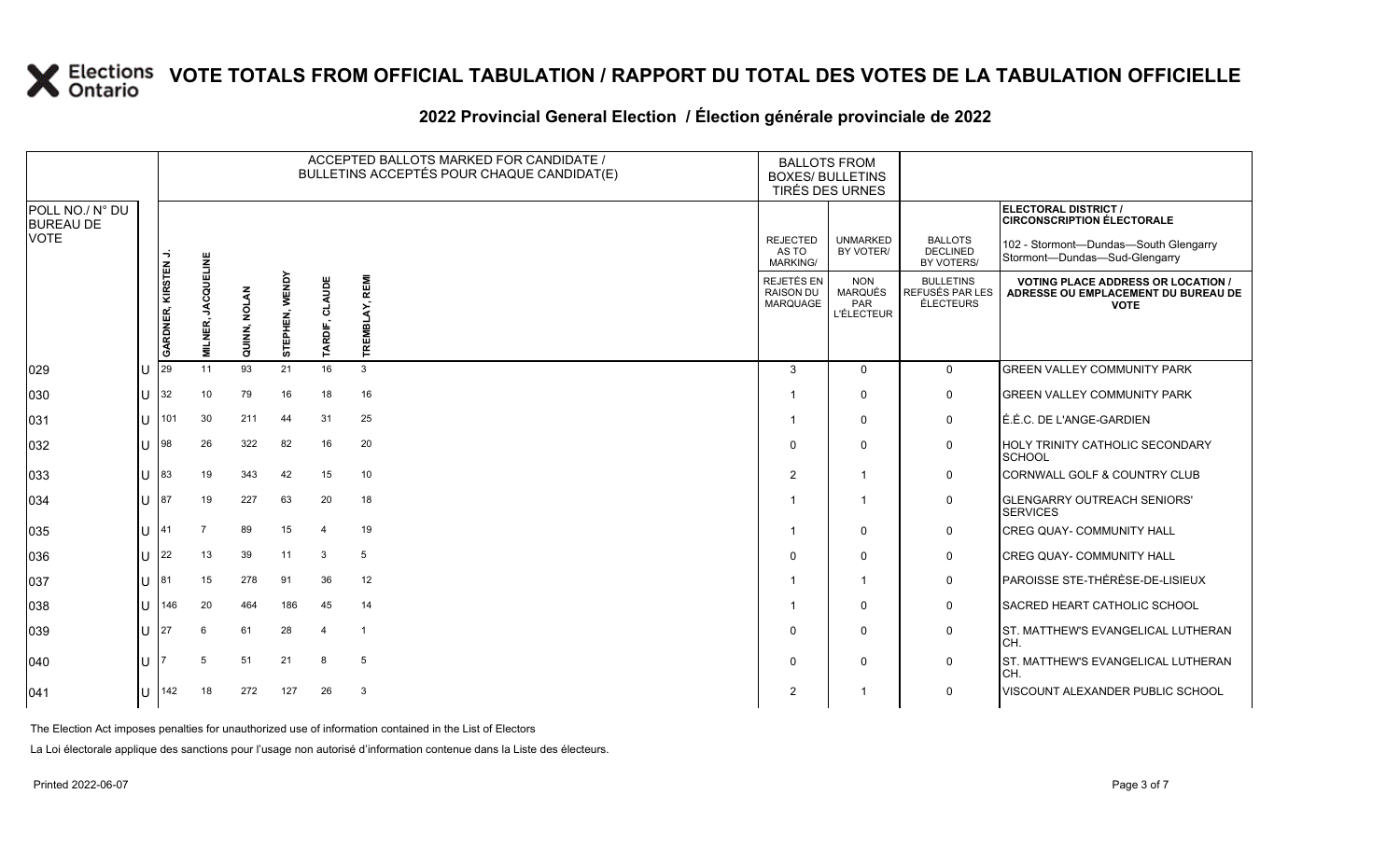### **2022 Provincial General Election / Élection générale provinciale de 2022**

|                                     |            |                    |                   |              |                |                       | ACCEPTED BALLOTS MARKED FOR CANDIDATE /<br>BULLETINS ACCEPTÉS POUR CHAQUE CANDIDAT(E) | <b>BALLOTS FROM</b><br><b>BOXES/ BULLETINS</b><br>TIRÉS DES URNES |                                                          |                                                         |                                                                                                 |
|-------------------------------------|------------|--------------------|-------------------|--------------|----------------|-----------------------|---------------------------------------------------------------------------------------|-------------------------------------------------------------------|----------------------------------------------------------|---------------------------------------------------------|-------------------------------------------------------------------------------------------------|
| POLL NO./ N° DU<br><b>BUREAU DE</b> |            |                    |                   |              |                |                       |                                                                                       |                                                                   |                                                          |                                                         | ELECTORAL DISTRICT /<br><b>CIRCONSCRIPTION ÉLECTORALE</b>                                       |
| <b>VOTE</b>                         |            |                    |                   |              |                |                       |                                                                                       | <b>REJECTED</b><br>AS TO<br><b>MARKING/</b>                       | <b>UNMARKED</b><br>BY VOTER/                             | <b>BALLOTS</b><br><b>DECLINED</b><br>BY VOTERS/         | 102 - Stormont-Dundas-South Glengarry<br>Stormont-Dundas-Sud-Glengarry                          |
|                                     |            | GARDNER, KIRSTEN J | <b>JACQUELINE</b> | QUINN, NOLAN | STEPHEN, WENDY | CLAUDE                | TREMBLAY, REMI                                                                        | <b>REJETÉS EN</b><br>RAISON DU<br><b>MARQUAGE</b>                 | <b>NON</b><br><b>MARQUÉS</b><br>PAR<br><b>L'ÉLECTEUR</b> | <b>BULLETINS</b><br>REFUSÉS PAR LES<br><b>ÉLECTEURS</b> | <b>VOTING PLACE ADDRESS OR LOCATION /</b><br>ADRESSE OU EMPLACEMENT DU BUREAU DE<br><b>VOTE</b> |
|                                     |            |                    | MILNER,           |              |                | TARDIF,               |                                                                                       |                                                                   |                                                          |                                                         |                                                                                                 |
| 029                                 | U          | 29                 | 11                | 93           | 21             | 16                    | 3                                                                                     | 3                                                                 | $\Omega$                                                 | $\Omega$                                                | <b>GREEN VALLEY COMMUNITY PARK</b>                                                              |
| 030                                 | $ U $ 32   |                    | 10                | 79           | 16             | 18                    | 16                                                                                    |                                                                   | $\Omega$                                                 | 0                                                       | <b>GREEN VALLEY COMMUNITY PARK</b>                                                              |
| 031                                 | U          | 101                | 30                | 211          | 44             | 31                    | 25                                                                                    |                                                                   | $\mathbf{0}$                                             | 0                                                       | É.É.C. DE L'ANGE-GARDIEN                                                                        |
| 032                                 | ΙU         | 98                 | 26                | 322          | 82             | 16                    | 20                                                                                    | $\Omega$                                                          | $\Omega$                                                 | 0                                                       | <b>HOLY TRINITY CATHOLIC SECONDARY</b><br>SCHOOL                                                |
| 033                                 | lu         | 83                 | 19                | 343          | 42             | 15                    | 10                                                                                    | $\mathcal{P}$                                                     | -1                                                       | $\mathbf 0$                                             | <b>CORNWALL GOLF &amp; COUNTRY CLUB</b>                                                         |
| 034                                 | $ U ^{87}$ |                    | 19                | 227          | 63             | 20                    | 18                                                                                    |                                                                   | -1                                                       | 0                                                       | <b>GLENGARRY OUTREACH SENIORS'</b><br><b>SERVICES</b>                                           |
| 035                                 | lu         | 141                | $\overline{7}$    | 89           | 15             | $\boldsymbol{\Delta}$ | 19                                                                                    |                                                                   | $\mathbf{0}$                                             | 0                                                       | <b>CREG QUAY- COMMUNITY HALL</b>                                                                |
| 036                                 | lU.        | 22                 | 13                | 39           | 11             | 3                     | 5                                                                                     | $\Omega$                                                          | $\Omega$                                                 | 0                                                       | <b>CREG QUAY- COMMUNITY HALL</b>                                                                |
| 037                                 | $11$ 81    |                    | 15                | 278          | 91             | 36                    | 12                                                                                    |                                                                   | $\overline{1}$                                           | $\mathbf 0$                                             | PAROISSE STE-THÉRÈSE-DE-LISIEUX                                                                 |
| 038                                 | lU.        | 146                | 20                | 464          | 186            | 45                    | 14                                                                                    |                                                                   | $\mathbf{0}$                                             | 0                                                       | SACRED HEART CATHOLIC SCHOOL                                                                    |
| 039                                 | U          | 27                 | 6                 | 61           | 28             | $\boldsymbol{\Delta}$ | -1                                                                                    | $\Omega$                                                          | $\Omega$                                                 | 0                                                       | ST. MATTHEW'S EVANGELICAL LUTHERAN<br>ICH.                                                      |
| 040                                 | U          |                    |                   | 51           | 21             | 8                     | 5                                                                                     | $\Omega$                                                          | $\mathbf{0}$                                             | 0                                                       | <b>ST. MATTHEW'S EVANGELICAL LUTHERAN</b><br>ICH.                                               |
| 041                                 | lU.        | 142                | 18                | 272          | 127            | 26                    | 3                                                                                     | $\overline{2}$                                                    |                                                          | $\mathbf 0$                                             | VISCOUNT ALEXANDER PUBLIC SCHOOL                                                                |

The Election Act imposes penalties for unauthorized use of information contained in the List of Electors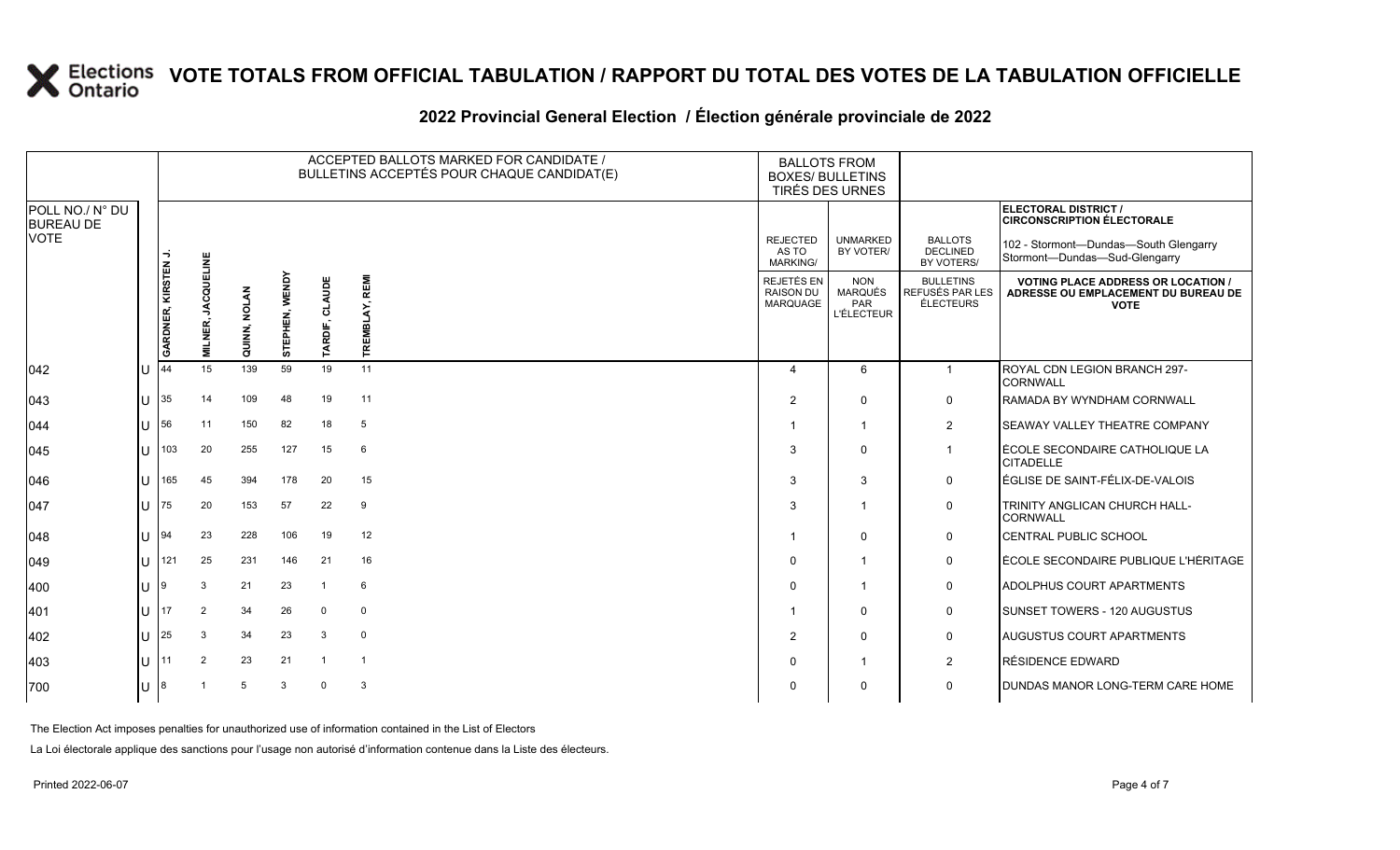### **2022 Provincial General Election / Élection générale provinciale de 2022**

|                                     |     |                     | ACCEPTED BALLOTS MARKED FOR CANDIDATE /<br>BULLETINS ACCEPTÉS POUR CHAQUE CANDIDAT(E) |                     |                          |                   | <b>BALLOTS FROM</b><br><b>BOXES/ BULLETINS</b><br>TIRÉS DES URNES |                                                   |                                                   |                                                  |                                                                                                 |
|-------------------------------------|-----|---------------------|---------------------------------------------------------------------------------------|---------------------|--------------------------|-------------------|-------------------------------------------------------------------|---------------------------------------------------|---------------------------------------------------|--------------------------------------------------|-------------------------------------------------------------------------------------------------|
| POLL NO./ N° DU<br><b>BUREAU DE</b> |     |                     |                                                                                       |                     |                          |                   |                                                                   |                                                   |                                                   |                                                  | ELECTORAL DISTRICT /<br><b>CIRCONSCRIPTION ÉLECTORALE</b>                                       |
| <b>VOTE</b>                         |     |                     |                                                                                       |                     |                          |                   |                                                                   | <b>REJECTED</b><br>AS TO<br><b>MARKING/</b>       | <b>UNMARKED</b><br>BY VOTER/                      | <b>BALLOTS</b><br><b>DECLINED</b><br>BY VOTERS/  | 102 - Stormont-Dundas-South Glengarry<br>Stormont-Dundas-Sud-Glengarry                          |
|                                     |     | GARDNER, KIRSTEN J. | <b>JACQUELINE</b><br>MILNER,                                                          | <b>QUINN, NOLAN</b> | <b>WENDY</b><br>STEPHEN, | CLAUDE<br>TARDIF, | TREMBLAY, REMI                                                    | REJETÉS EN<br><b>RAISON DU</b><br><b>MARQUAGE</b> | <b>NON</b><br>MARQUÉS<br>PAR<br><b>L'ÉLECTEUR</b> | <b>BULLETINS</b><br>REFUSÉS PAR LES<br>ÉLECTEURS | <b>VOTING PLACE ADDRESS OR LOCATION /</b><br>ADRESSE OU EMPLACEMENT DU BUREAU DE<br><b>VOTE</b> |
| $ 042\rangle$                       | lU  | 44                  | 15                                                                                    | 139                 | 59                       | 19                | 11                                                                | $\Delta$                                          | 6                                                 | $\mathbf{1}$                                     | ROYAL CDN LEGION BRANCH 297-<br><b>CORNWALL</b>                                                 |
| 043                                 | ΠT  | 35                  | 14                                                                                    | 109                 | 48                       | 19                | 11                                                                | 2                                                 | $\Omega$                                          | 0                                                | RAMADA BY WYNDHAM CORNWALL                                                                      |
| 044                                 | lU  | 56                  | 11                                                                                    | 150                 | 82                       | 18                | 5                                                                 |                                                   | -1                                                | $\overline{2}$                                   | SEAWAY VALLEY THEATRE COMPANY                                                                   |
| 045                                 | lU  | 103                 | 20                                                                                    | 255                 | 127                      | 15                | 6                                                                 | 3                                                 | $\mathbf{0}$                                      | $\mathbf{1}$                                     | ÉCOLE SECONDAIRE CATHOLIQUE LA<br><b>CITADELLE</b>                                              |
| 046                                 | IU  | 165                 | 45                                                                                    | 394                 | 178                      | 20                | 15                                                                | 3                                                 | 3                                                 | 0                                                | ÉGLISE DE SAINT-FÉLIX-DE-VALOIS                                                                 |
| 047                                 | lU  | 75                  | 20                                                                                    | 153                 | 57                       | 22                | 9                                                                 | 3                                                 |                                                   | 0                                                | TRINITY ANGLICAN CHURCH HALL-<br><b>CORNWALL</b>                                                |
| 048                                 | IU  | 94                  | 23                                                                                    | 228                 | 106                      | 19                | 12                                                                |                                                   | 0                                                 | 0                                                | <b>CENTRAL PUBLIC SCHOOL</b>                                                                    |
| $ 049\rangle$                       | lU  | 121                 | 25                                                                                    | 231                 | 146                      | 21                | 16                                                                | $\mathbf 0$                                       |                                                   | 0                                                | ÉCOLE SECONDAIRE PUBLIQUE L'HÉRITAGE                                                            |
| 400                                 | IU  | 9                   | 3                                                                                     | 21                  | 23                       | $\mathbf 1$       | 6                                                                 | $\Omega$                                          |                                                   | 0                                                | ADOLPHUS COURT APARTMENTS                                                                       |
| 401                                 | lU. | 17                  | 2                                                                                     | 34                  | 26                       | $\Omega$          | $\mathbf 0$                                                       |                                                   | 0                                                 | 0                                                | SUNSET TOWERS - 120 AUGUSTUS                                                                    |
| 402                                 | lU  | 25                  | 3                                                                                     | 34                  | 23                       | 3                 | $\mathbf 0$                                                       | $\overline{2}$                                    | 0                                                 | 0                                                | AUGUSTUS COURT APARTMENTS                                                                       |
| 403                                 | lU  | 11                  | 2                                                                                     | 23                  | 21                       |                   | $\overline{1}$                                                    | 0                                                 |                                                   | $\overline{a}$                                   | RÉSIDENCE EDWARD                                                                                |
| 700                                 | lU. | 8                   |                                                                                       | 5                   | $\mathbf{3}$             | $\Omega$          | 3                                                                 | $\mathbf 0$                                       | 0                                                 | $\mathbf 0$                                      | DUNDAS MANOR LONG-TERM CARE HOME                                                                |

The Election Act imposes penalties for unauthorized use of information contained in the List of Electors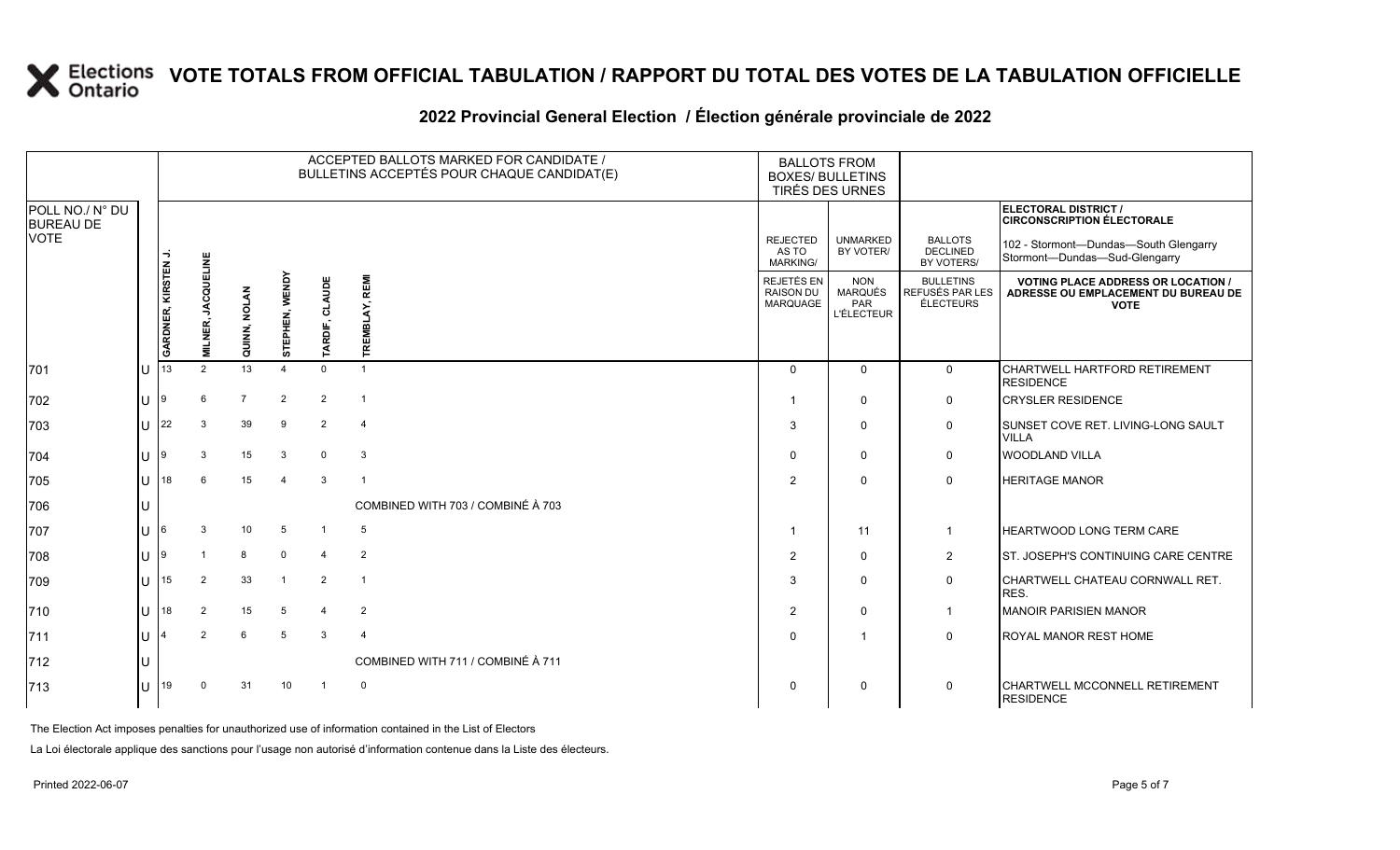### **2022 Provincial General Election / Élection générale provinciale de 2022**

|                                     |                |                    |                   |                |                |                | ACCEPTED BALLOTS MARKED FOR CANDIDATE /<br>BULLETINS ACCEPTÉS POUR CHAQUE CANDIDAT(E) |                                                   | <b>BALLOTS FROM</b><br><b>BOXES/ BULLETINS</b><br>TIRÉS DES URNES |                                                         |                                                                                                 |
|-------------------------------------|----------------|--------------------|-------------------|----------------|----------------|----------------|---------------------------------------------------------------------------------------|---------------------------------------------------|-------------------------------------------------------------------|---------------------------------------------------------|-------------------------------------------------------------------------------------------------|
| POLL NO./ N° DU<br><b>BUREAU DE</b> |                |                    |                   |                |                |                |                                                                                       |                                                   |                                                                   |                                                         | <b>ELECTORAL DISTRICT /</b><br><b>CIRCONSCRIPTION ÉLECTORALE</b>                                |
| VOTE                                |                |                    |                   |                |                |                |                                                                                       | <b>REJECTED</b><br>AS TO<br>MARKING/              | <b>UNMARKED</b><br>BY VOTER/                                      | <b>BALLOTS</b><br><b>DECLINED</b><br>BY VOTERS/         | 102 - Stormont-Dundas-South Glengarry<br>Stormont-Dundas-Sud-Glengarry                          |
|                                     |                | GARDNER, KIRSTEN J | <b>JACQUELINE</b> | QUINN, NOLAN   | STEPHEN, WENDY | TARDIF, CLAUDE | TREMBLAY, REMI                                                                        | REJETÉS EN<br><b>RAISON DU</b><br><b>MARQUAGE</b> | <b>NON</b><br>MARQUÉS<br>PAR<br><b>L'ÉLECTEUR</b>                 | <b>BULLETINS</b><br>REFUSÉS PAR LES<br><b>ÉLECTEURS</b> | <b>VOTING PLACE ADDRESS OR LOCATION /</b><br>ADRESSE OU EMPLACEMENT DU BUREAU DE<br><b>VOTE</b> |
|                                     |                |                    | <b>MILNER,</b>    |                |                |                |                                                                                       |                                                   |                                                                   |                                                         |                                                                                                 |
| 701                                 |                | 13                 | $\mathcal{P}$     | 13             | $\overline{4}$ | $\Omega$       | $\overline{1}$                                                                        | $\Omega$                                          | $\Omega$                                                          | $\mathbf 0$                                             | CHARTWELL HARTFORD RETIREMENT<br><b>RESIDENCE</b>                                               |
| 702                                 | $\mathbf{U}$   |                    | 6                 | $\overline{7}$ | $\overline{2}$ | $\overline{2}$ | $\overline{1}$                                                                        | -1                                                | $\mathbf{0}$                                                      | $\mathbf 0$                                             | <b>CRYSLER RESIDENCE</b>                                                                        |
| 703                                 | $\mathbf{H}$   | 22                 | 3                 | 39             | 9              | $\overline{2}$ | $\overline{4}$                                                                        | 3                                                 | 0                                                                 | 0                                                       | SUNSET COVE RET. LIVING-LONG SAULT<br><b>VILLA</b>                                              |
| 704                                 |                |                    | 3                 | 15             | 3              | $\Omega$       | $\mathbf{3}$                                                                          | $\Omega$                                          | $\mathbf{0}$                                                      | 0                                                       | <b>WOODLAND VILLA</b>                                                                           |
| 705                                 |                | 18                 |                   | 15             | $\overline{4}$ | 3              | $\overline{1}$                                                                        | $\mathcal{P}$                                     | $\Omega$                                                          | $\Omega$                                                | <b>HERITAGE MANOR</b>                                                                           |
| 706                                 |                |                    |                   |                |                |                | COMBINED WITH 703 / COMBINÉ À 703                                                     |                                                   |                                                                   |                                                         |                                                                                                 |
| 707                                 |                |                    | 3                 | 10             | 5              | $\mathbf{1}$   | 5                                                                                     | - 1                                               | 11                                                                | $\mathbf{1}$                                            | HEARTWOOD LONG TERM CARE                                                                        |
| 708                                 |                |                    |                   | 8              | $\mathbf 0$    | $\overline{4}$ | $\overline{2}$                                                                        | $\overline{2}$                                    | $\Omega$                                                          | $\overline{2}$                                          | ST. JOSEPH'S CONTINUING CARE CENTRE                                                             |
| 709                                 | $\blacksquare$ | 15                 | 2                 | 33             | $\overline{1}$ | $\overline{2}$ | $\overline{1}$                                                                        | 3                                                 | $\Omega$                                                          | $\mathbf 0$                                             | CHARTWELL CHATEAU CORNWALL RET.<br>RES.                                                         |
| 710                                 |                | 18                 | $\overline{2}$    | 15             | 5              | $\overline{4}$ | $\overline{2}$                                                                        | $\overline{2}$                                    | $\Omega$                                                          | $\mathbf{1}$                                            | <b>MANOIR PARISIEN MANOR</b>                                                                    |
| 711                                 |                |                    | $\mathcal{P}$     | 6              | 5              | $\mathbf{3}$   | $\overline{4}$                                                                        | $\Omega$                                          | -1                                                                | $\mathbf{0}$                                            | ROYAL MANOR REST HOME                                                                           |
| 712                                 |                |                    |                   |                |                |                | COMBINED WITH 711 / COMBINÉ À 711                                                     |                                                   |                                                                   |                                                         |                                                                                                 |
| 713                                 |                | 19                 | $\Omega$          | 31             | 10             |                | $\mathbf 0$                                                                           | $\Omega$                                          | $\mathbf{0}$                                                      | $\mathbf 0$                                             | CHARTWELL MCCONNELL RETIREMENT<br><b>RESIDENCE</b>                                              |

The Election Act imposes penalties for unauthorized use of information contained in the List of Electors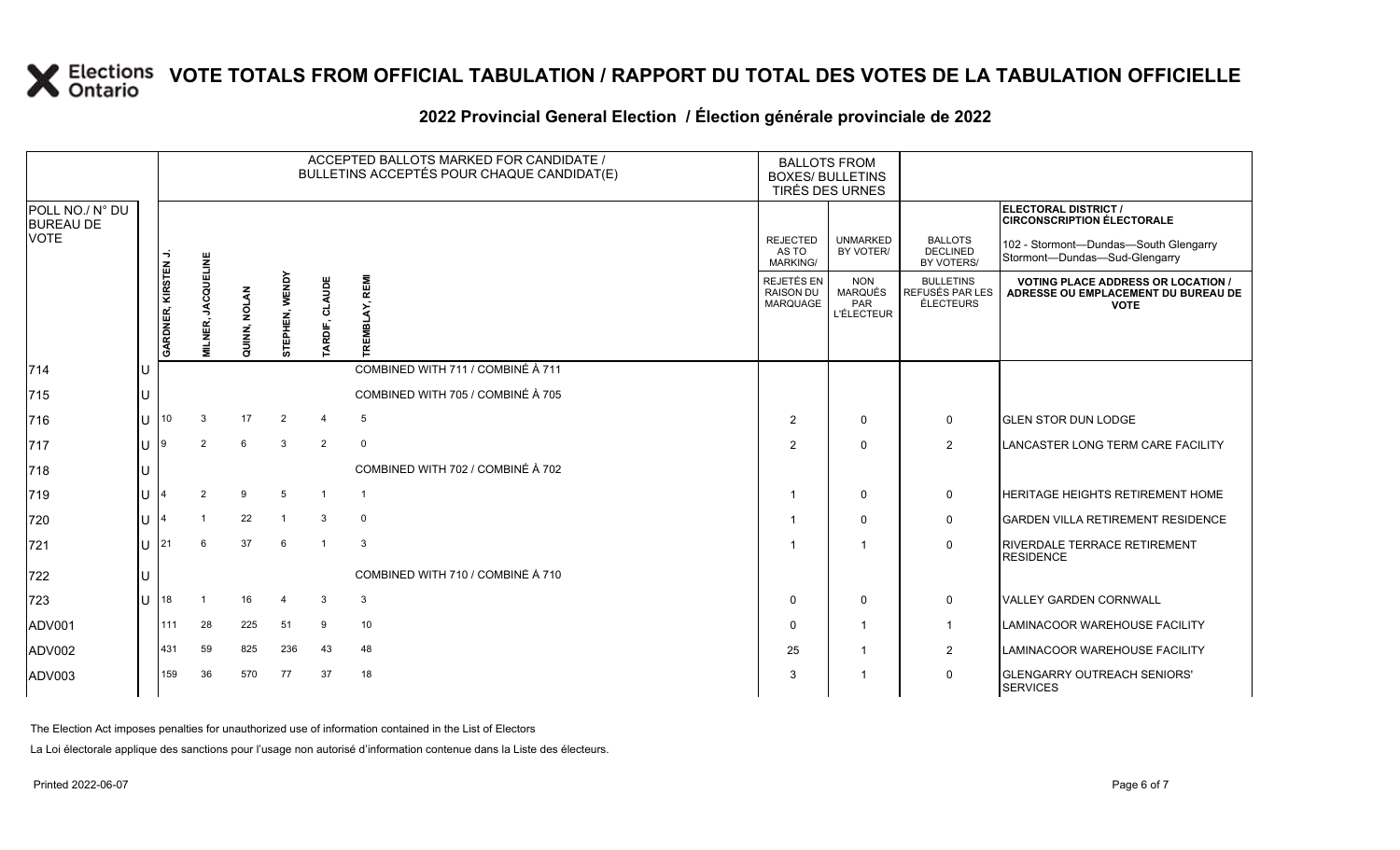|                                     |                   |                     |                            |                     |                          |                         | ACCEPTED BALLOTS MARKED FOR CANDIDATE /<br>BULLETINS ACCEPTÉS POUR CHAQUE CANDIDAT(E) | <b>BALLOTS FROM</b><br><b>BOXES/ BULLETINS</b><br><b>TIRÉS DES URNES</b> |                                                   |                                                         |                                                                                                 |
|-------------------------------------|-------------------|---------------------|----------------------------|---------------------|--------------------------|-------------------------|---------------------------------------------------------------------------------------|--------------------------------------------------------------------------|---------------------------------------------------|---------------------------------------------------------|-------------------------------------------------------------------------------------------------|
| POLL NO./ N° DU<br><b>BUREAU DE</b> |                   |                     |                            |                     |                          |                         |                                                                                       |                                                                          |                                                   |                                                         | <b>ELECTORAL DISTRICT /</b><br><b>CIRCONSCRIPTION ÉLECTORALE</b>                                |
| <b>VOTE</b>                         |                   |                     |                            |                     |                          |                         |                                                                                       | <b>REJECTED</b><br>AS TO<br><b>MARKING/</b>                              | <b>UNMARKED</b><br>BY VOTER/                      | <b>BALLOTS</b><br><b>DECLINED</b><br>BY VOTERS/         | 102 - Stormont-Dundas-South Glengarry<br>Stormont-Dundas-Sud-Glengarry                          |
|                                     |                   | GARDNER, KIRSTEN J. | <b>JACQUELINE</b><br>LNER, | <b>QUINN, NOLAN</b> | <b>WENDY</b><br>STEPHEN, | TARDIF, CLAUDE          | LAY, REMI                                                                             | REJETÉS EN<br><b>RAISON DU</b><br>MARQUAGE                               | <b>NON</b><br>MARQUÉS<br>PAR<br><b>L'ÉLECTEUR</b> | <b>BULLETINS</b><br>REFUSÉS PAR LES<br><b>ÉLECTEURS</b> | <b>VOTING PLACE ADDRESS OR LOCATION /</b><br>ADRESSE OU EMPLACEMENT DU BUREAU DE<br><b>VOTE</b> |
| 714                                 | lU.               |                     |                            |                     |                          |                         | COMBINED WITH 711 / COMBINÉ À 711                                                     |                                                                          |                                                   |                                                         |                                                                                                 |
| 715                                 | U                 |                     |                            |                     |                          |                         | COMBINED WITH 705 / COMBINÉ À 705                                                     |                                                                          |                                                   |                                                         |                                                                                                 |
| 716                                 | $\mathbf{U}$   10 |                     | 3                          | 17                  | $\overline{2}$           | 4                       | $5\overline{)}$                                                                       | $\overline{2}$                                                           | $\mathbf{0}$                                      | 0                                                       | <b>GLEN STOR DUN LODGE</b>                                                                      |
| 717                                 | U                 | $\overline{19}$     | 2                          | 6                   | 3                        | 2                       | $\mathsf{O}$                                                                          | 2                                                                        | $\mathbf{0}$                                      | $\overline{2}$                                          | LANCASTER LONG TERM CARE FACILITY                                                               |
| 718                                 | U                 |                     |                            |                     |                          |                         | COMBINED WITH 702 / COMBINÉ À 702                                                     |                                                                          |                                                   |                                                         |                                                                                                 |
| 719                                 | U                 |                     | $\overline{2}$             | 9                   | $\sqrt{5}$               | -1                      | $\overline{1}$                                                                        |                                                                          | 0                                                 | 0                                                       | HERITAGE HEIGHTS RETIREMENT HOME                                                                |
| 720                                 | U                 |                     |                            | 22                  | $\mathbf{1}$             | 3                       | $\mathbf 0$                                                                           |                                                                          | $\mathbf{0}$                                      | 0                                                       | <b>GARDEN VILLA RETIREMENT RESIDENCE</b>                                                        |
| 721                                 | <b>U</b> 21       |                     | 6                          | 37                  | 6                        | $\overline{\mathbf{1}}$ | 3                                                                                     |                                                                          | $\overline{\phantom{a}}$                          | $\mathbf 0$                                             | RIVERDALE TERRACE RETIREMENT<br><b>RESIDENCE</b>                                                |
| 722                                 | U                 |                     |                            |                     |                          |                         | COMBINED WITH 710 / COMBINÉ À 710                                                     |                                                                          |                                                   |                                                         |                                                                                                 |
| 723                                 |                   | $U$  18             | $\overline{1}$             | 16                  | $\overline{4}$           | 3                       | $\mathbf{3}$                                                                          | $\Omega$                                                                 | $\mathbf 0$                                       | 0                                                       | VALLEY GARDEN CORNWALL                                                                          |
| ADV001                              |                   | 1111                | 28                         | 225                 | 51                       | 9                       | 10                                                                                    | $\Omega$                                                                 | $\mathbf 1$                                       | 1                                                       | LAMINACOOR WAREHOUSE FACILITY                                                                   |
| ADV002                              |                   | 431                 | 59                         | 825                 | 236                      | 43                      | 48                                                                                    | 25                                                                       | -1                                                | $\overline{2}$                                          | LAMINACOOR WAREHOUSE FACILITY                                                                   |
| ADV003                              |                   | 159                 | 36                         | 570                 | 77                       | 37                      | 18                                                                                    | 3                                                                        | -1                                                | $\mathbf 0$                                             | <b>GLENGARRY OUTREACH SENIORS'</b><br><b>SERVICES</b>                                           |

### **2022 Provincial General Election / Élection générale provinciale de 2022**

The Election Act imposes penalties for unauthorized use of information contained in the List of Electors